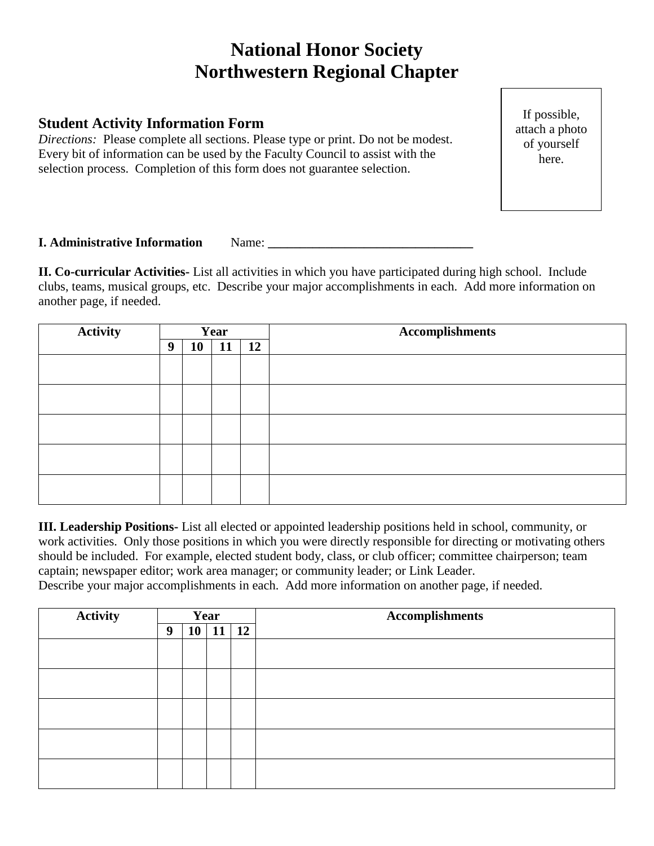## **National Honor Society Northwestern Regional Chapter**

## **Student Activity Information Form**

*Directions:* Please complete all sections. Please type or print. Do not be modest. Every bit of information can be used by the Faculty Council to assist with the selection process. Completion of this form does not guarantee selection.

If possible, attach a photo of yourself here.

## **I. Administrative Information** Name:

**II. Co-curricular Activities-** List all activities in which you have participated during high school. Include clubs, teams, musical groups, etc. Describe your major accomplishments in each. Add more information on another page, if needed.

| <b>Activity</b> | Year |    |    |    | <b>Accomplishments</b> |
|-----------------|------|----|----|----|------------------------|
|                 | 9    | 10 | 11 | 12 |                        |
|                 |      |    |    |    |                        |
|                 |      |    |    |    |                        |
|                 |      |    |    |    |                        |
|                 |      |    |    |    |                        |
|                 |      |    |    |    |                        |
|                 |      |    |    |    |                        |
|                 |      |    |    |    |                        |
|                 |      |    |    |    |                        |
|                 |      |    |    |    |                        |
|                 |      |    |    |    |                        |

**III. Leadership Positions-** List all elected or appointed leadership positions held in school, community, or work activities. Only those positions in which you were directly responsible for directing or motivating others should be included. For example, elected student body, class, or club officer; committee chairperson; team captain; newspaper editor; work area manager; or community leader; or Link Leader.

Describe your major accomplishments in each. Add more information on another page, if needed.

| <b>Activity</b> | Year |    |    |    | <b>Accomplishments</b> |
|-----------------|------|----|----|----|------------------------|
|                 | 9    | 10 | 11 | 12 |                        |
|                 |      |    |    |    |                        |
|                 |      |    |    |    |                        |
|                 |      |    |    |    |                        |
|                 |      |    |    |    |                        |
|                 |      |    |    |    |                        |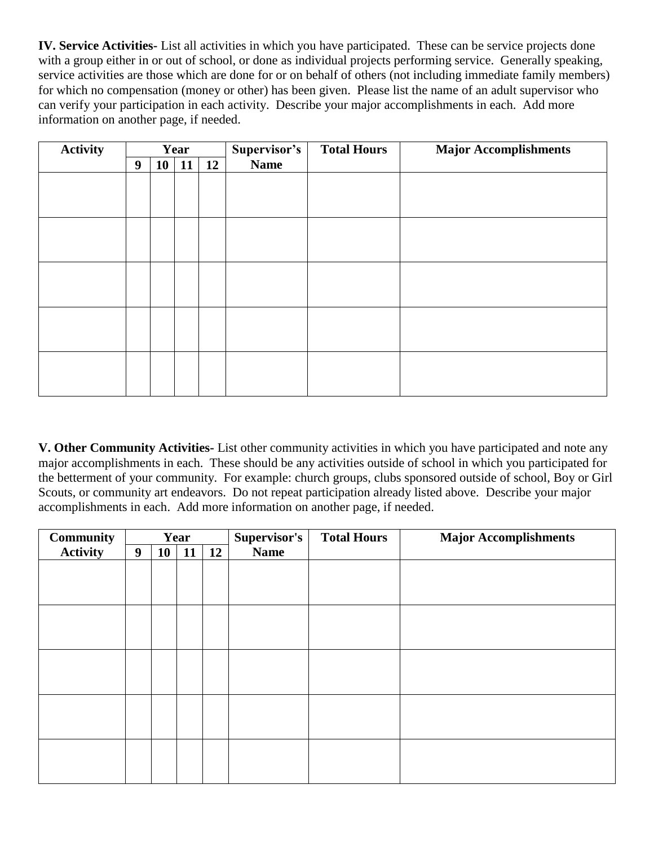**IV. Service Activities-** List all activities in which you have participated. These can be service projects done with a group either in or out of school, or done as individual projects performing service. Generally speaking, service activities are those which are done for or on behalf of others (not including immediate family members) for which no compensation (money or other) has been given. Please list the name of an adult supervisor who can verify your participation in each activity.Describe your major accomplishments in each. Add more information on another page, if needed.

| <b>Activity</b> | Year |    |    |    | Supervisor's | <b>Total Hours</b> | <b>Major Accomplishments</b> |
|-----------------|------|----|----|----|--------------|--------------------|------------------------------|
|                 | 9    | 10 | 11 | 12 | <b>Name</b>  |                    |                              |
|                 |      |    |    |    |              |                    |                              |
|                 |      |    |    |    |              |                    |                              |
|                 |      |    |    |    |              |                    |                              |
|                 |      |    |    |    |              |                    |                              |
|                 |      |    |    |    |              |                    |                              |
|                 |      |    |    |    |              |                    |                              |
|                 |      |    |    |    |              |                    |                              |
|                 |      |    |    |    |              |                    |                              |
|                 |      |    |    |    |              |                    |                              |
|                 |      |    |    |    |              |                    |                              |
|                 |      |    |    |    |              |                    |                              |
|                 |      |    |    |    |              |                    |                              |
|                 |      |    |    |    |              |                    |                              |
|                 |      |    |    |    |              |                    |                              |
|                 |      |    |    |    |              |                    |                              |

**V. Other Community Activities-** List other community activities in which you have participated and note any major accomplishments in each. These should be any activities outside of school in which you participated for the betterment of your community. For example: church groups, clubs sponsored outside of school, Boy or Girl Scouts, or community art endeavors. Do not repeat participation already listed above. Describe your major accomplishments in each. Add more information on another page, if needed.

| <b>Community</b> |   |    | Year |    | Supervisor's | <b>Total Hours</b> | <b>Major Accomplishments</b> |
|------------------|---|----|------|----|--------------|--------------------|------------------------------|
| <b>Activity</b>  | 9 | 10 | 11   | 12 | <b>Name</b>  |                    |                              |
|                  |   |    |      |    |              |                    |                              |
|                  |   |    |      |    |              |                    |                              |
|                  |   |    |      |    |              |                    |                              |
|                  |   |    |      |    |              |                    |                              |
|                  |   |    |      |    |              |                    |                              |
|                  |   |    |      |    |              |                    |                              |
|                  |   |    |      |    |              |                    |                              |
|                  |   |    |      |    |              |                    |                              |
|                  |   |    |      |    |              |                    |                              |
|                  |   |    |      |    |              |                    |                              |
|                  |   |    |      |    |              |                    |                              |
|                  |   |    |      |    |              |                    |                              |
|                  |   |    |      |    |              |                    |                              |
|                  |   |    |      |    |              |                    |                              |
|                  |   |    |      |    |              |                    |                              |